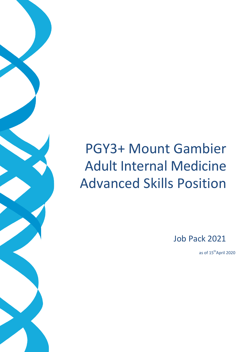# PGY3+ Mount Gambier Adult Internal Medicine Advanced Skills Position

Job Pack 2021

as of 15<sup>th</sup>April 2020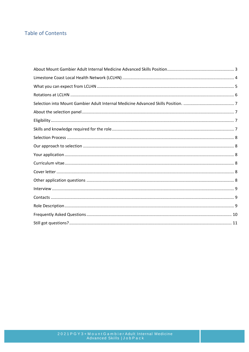# **Table of Contents**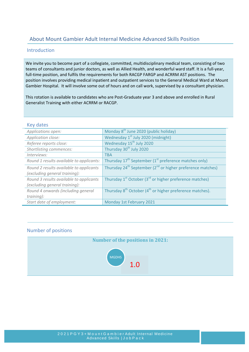# <span id="page-2-0"></span>About Mount Gambier Adult Internal Medicine Advanced Skills Position

# Introduction

We invite you to become part of a collegiate, committed, multidisciplinary medical team, consisting of two teams of consultants and junior doctors, as well as Allied Health, and wonderful ward staff. It is a full-year, full-time position, and fulfils the requirements for both RACGP FARGP and ACRRM AST positions. The position involves providing medical inpatient and outpatient services to the General Medical Ward at Mount Gambier Hospital. It will involve some out of hours and on call work, supervised by a consultant physician.

This rotation is available to candidates who are Post-Graduate year 3 and above and enrolled in Rural Generalist Training with either ACRRM or RACGP.

| <b>Key dates</b>                                                         |                                                                                    |
|--------------------------------------------------------------------------|------------------------------------------------------------------------------------|
| Applications open:                                                       | Monday 8 <sup>th</sup> June 2020 (public holiday)                                  |
| Application close:                                                       | Wednesday 1 <sup>st</sup> July 2020 (midnight)                                     |
| Referee reports close:                                                   | Wednesday 15 <sup>th</sup> July 2020                                               |
| Shortlisting commences:                                                  | Thursday 30 <sup>th</sup> July 2020                                                |
| Interviews:                                                              | <b>TBA</b>                                                                         |
| Round 1 results available to applicants:                                 | Thursday 17 <sup>th</sup> September (1 <sup>st</sup> preference matches only)      |
| Round 2 results available to applicants<br>(excluding general training): | Thursday 24 <sup>th</sup> September (2 <sup>nd</sup> or higher preference matches) |
| Round 3 results available to applicants<br>(excluding general training): | Thursday $1^{st}$ October (3 $^{rd}$ or higher preference matches)                 |
| Round 4 onwards (including general                                       | Thursday 8 <sup>th</sup> October (4 <sup>th</sup> or higher preference matches).   |
| training):                                                               |                                                                                    |
| Start date of employment:                                                | Monday 1st February 2021                                                           |

# Number of positions

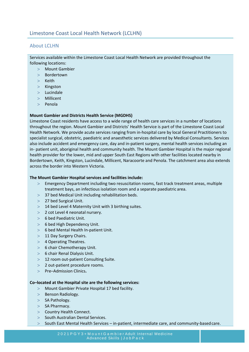# <span id="page-3-0"></span>About LCLHN

Services available within the Limestone Coast Local Health Network are provided throughout the following locations:

- > Mount Gambier
- > Bordertown
- > Keith
- > Kingston
- > Lucindale
- > Millicent
- > Penola

#### **Mount Gambier and Districts Health Service (MGDHS)**

Limestone Coast residents have access to a wide range of health care services in a number of locations throughout the region. Mount Gambier and Districts' Health Service is part of the Limestone Coast Local Health Network. We provide acute services ranging from in-hospital care by local General Practitioners to specialist surgical, obstetric, paediatric and anaesthetic services delivered by Medical Consultants. Services also include accident and emergency care, day and in-patient surgery, mental health services including an in- patient unit, aboriginal health and community health. The Mount Gambier Hospital is the major regional health provider for the lower, mid and upper South East Regions with other facilities located nearby in Bordertown, Keith, Kingston, Lucindale, Millicent, Naracoorte and Penola. The catchment area also extends across the border into Western Victoria.

#### **The Mount Gambier Hospital services and facilities include:**

- > Emergency Department including two resuscitation rooms, fast track treatment areas, multiple treatment bays, an infectious isolation room and a separate paediatric area.
- > 37 bed Medical Unit including rehabilitation beds.
- > 27 bed Surgical Unit.
- > 14 bed Level 4 Maternity Unit with 3 birthing suites.
- > 2 cot Level 4 neonatal nursery.
- > 6 bed Paediatric Unit.
- > 6 bed High Dependency Unit.
- > 6 bed Mental Health In-patient Unit.
- > 11 Day Surgery Chairs.
- > 4 Operating Theatres.
- > 6 chair Chemotherapy Unit.
- > 6 chair Renal Dialysis Unit.
- > 12 room out-patient Consulting Suite.
- > 2 out-patient procedure rooms.
- > Pre–Admission Clinics**.**

#### **Co–located at the Hospital site are the following services:**

- > Mount Gambier Private Hospital 17 bed facility.
- > Benson Radiology.
- > SA Pathology.
- > SA Pharmacy.
- > Country Health Connect.
- > South Australian Dental Services.

Ī

> South East Mental Health Services – in-patient, intermediate care, and community-basedcare.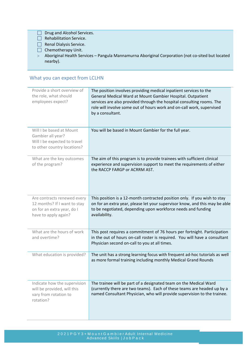- Drug and Alcohol Services.
- $\Box$  Rehabilitation Service.
- $\Box$  Renal Dialysis Service.
- $\Box$  Chemotherapy Unit.
- > Aboriginal Health Services Pangula Mannamurna Aboriginal Corporation (not co-sited but located nearby).

# <span id="page-4-0"></span>What you can expect from LCLHN

| Provide a short overview of<br>the role, what should<br>employees expect?                                         | The position involves providing medical inpatient services to the<br>General Medical Ward at Mount Gambier Hospital. Outpatient<br>services are also provided through the hospital consulting rooms. The<br>role will involve some out of hours work and on-call work, supervised<br>by a consultant. |
|-------------------------------------------------------------------------------------------------------------------|-------------------------------------------------------------------------------------------------------------------------------------------------------------------------------------------------------------------------------------------------------------------------------------------------------|
| Will I be based at Mount<br>Gambier all year?<br>Will I be expected to travel<br>to other country locations?      | You will be based in Mount Gambier for the full year.                                                                                                                                                                                                                                                 |
| What are the key outcomes<br>of the program?                                                                      | The aim of this program is to provide trainees with sufficient clinical<br>experience and supervision support to meet the requirements of either<br>the RACCP FARGP or ACRRM AST.                                                                                                                     |
| Are contracts renewed every<br>12 months? If I want to stay<br>on for an extra year, do I<br>have to apply again? | This position is a 12-month contracted position only. If you wish to stay<br>on for an extra year, please let your supervisor know, and this may be able<br>to be negotiated, depending upon workforce needs and funding<br>availability.                                                             |
| What are the hours of work<br>and overtime?                                                                       | This post requires a commitment of 76 hours per fortnight. Participation<br>in the out of hours on-call roster is required. You will have a consultant<br>Physician second on-call to you at all times.                                                                                               |
| What education is provided?                                                                                       | The unit has a strong learning focus with frequent ad-hoc tutorials as well<br>as more formal training including monthly Medical Grand Rounds                                                                                                                                                         |
| Indicate how the supervision<br>will be provided, will this<br>vary from rotation to<br>rotation?                 | The trainee will be part of a designated team on the Medical Ward<br>(currently there are two teams). Each of these teams are headed up by a<br>named Consultant Physician, who will provide supervision to the trainee.                                                                              |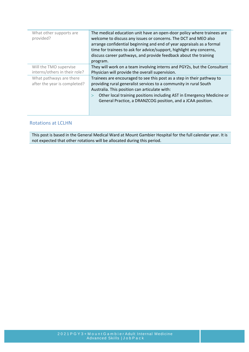| What other supports are       | The medical education unit have an open-door policy where trainees are   |
|-------------------------------|--------------------------------------------------------------------------|
| provided?                     | welcome to discuss any issues or concerns. The DCT and MEO also          |
|                               | arrange confidential beginning and end of year appraisals as a formal    |
|                               | time for trainees to ask for advice/support, highlight any concerns,     |
|                               | discuss career pathways, and provide feedback about the training         |
|                               | program.                                                                 |
| Will the TMO supervise        | They will work on a team involving interns and PGY2s, but the Consultant |
| interns/others in their role? | Physician will provide the overall supervision.                          |
| What pathways are there       | Trainees are encouraged to see this post as a step in their pathway to   |
| after the year is completed?  | providing rural generalist services to a community in rural South        |
|                               | Australia. This position can articulate with:                            |
|                               | Other local training positions including AST in Emergency Medicine or    |
|                               | General Practice, a DRANZCOG position, and a JCAA position.              |
|                               |                                                                          |
|                               |                                                                          |

# <span id="page-5-0"></span>Rotations at LCLHN

This post is based in the General Medical Ward at Mount Gambier Hospital for the full calendar year. It is not expected that other rotations will be allocated during this period.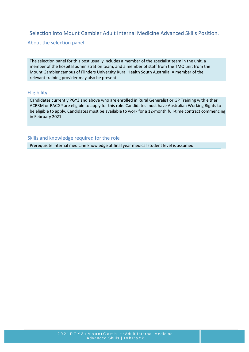# <span id="page-6-0"></span>Selection into Mount Gambier Adult Internal Medicine Advanced Skills Position.

<span id="page-6-1"></span>About the selection panel

The selection panel for this post usually includes a member of the specialist team in the unit, a member of the hospital administration team, and a member of staff from the TMO unit from the Mount Gambier campus of Flinders University Rural Health South Australia. A member of the relevant training provider may also be present.

## <span id="page-6-2"></span>**Eligibility**

Candidates currently PGY3 and above who are enrolled in Rural Generalist or GP Training with either ACRRM or RACGP are eligible to apply for this role. Candidates must have Australian Working Rights to be eligible to apply. Candidates must be available to work for a 12-month full-time contract commencing in February 2021.

### <span id="page-6-3"></span>Skills and knowledge required for the role

Prerequisite internal medicine knowledge at final year medical student level is assumed.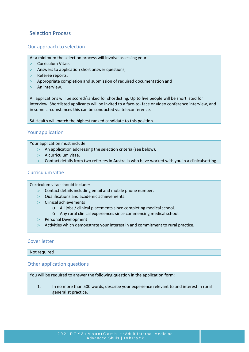# <span id="page-7-0"></span>Selection Process

## <span id="page-7-1"></span>Our approach to selection

- At a minimum the selection process will involve assessing your:
- > Curriculum Vitae,
- > Answers to application short answer questions,
- > Referee reports,
- > Appropriate completion and submission of required documentation and
- > An interview.

All applications will be scored/ranked for shortlisting. Up to five people will be shortlisted for interview. Shortlisted applicants will be invited to a face-to- face or video conference interview, and in some circumstances this can be conducted via teleconference.

<span id="page-7-2"></span>SA Health will match the highest ranked candidate to this position.

## Your application

Your application must include:

- > An application addressing the selection criteria (see below).
- $>$  A curriculum vitae.
- > Contact details from two referees in Australia who have worked with you in a clinicalsetting.

## <span id="page-7-3"></span>Curriculum vitae

Curriculum vitae should include:

- > Contact details including email and mobile phone number.
- > Qualifications and academic achievements.

Ī

- > Clinical achievements
	- o All jobs / clinical placements since completing medicalschool.
	- o Any rural clinical experiences since commencing medicalschool.
- > Personal Development
- > Activities which demonstrate your interest in and commitment to rural practice.

## <span id="page-7-4"></span>Cover letter

<span id="page-7-5"></span>Not required

### Other application questions

You will be required to answer the following question in the application form:

1. In no more than 500 words, describe your experience relevant to and interest in rural generalist practice.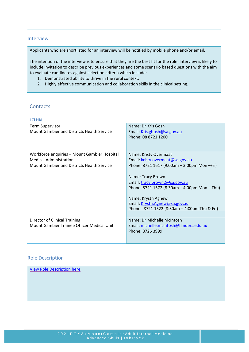### <span id="page-8-0"></span>Interview

Applicants who are shortlisted for an interview will be notified by mobile phone and/or email.

The intention of the interview is to ensure that they are the best fit for the role. Interview is likely to include invitation to describe previous experiences and some scenario based questions with the aim to evaluate candidates against selection criteria which include:

- 1. Demonstrated ability to thrive in the rural context.
- 2. Highly effective communication and collaboration skills in the clinical setting.

# <span id="page-8-1"></span>**Contacts**

| <b>LCLHN</b>                                                                                                                |                                                                                                                                                                                                                                                                                                                                  |  |  |
|-----------------------------------------------------------------------------------------------------------------------------|----------------------------------------------------------------------------------------------------------------------------------------------------------------------------------------------------------------------------------------------------------------------------------------------------------------------------------|--|--|
| <b>Term Supervisor</b><br>Mount Gambier and Districts Health Service                                                        | Name: Dr Kris Gosh<br>Email: Kris.ghosh@sa.gov.au<br>Phone: 08 8721 1200                                                                                                                                                                                                                                                         |  |  |
| Workforce enquiries - Mount Gambier Hospital<br><b>Medical Administration</b><br>Mount Gambier and Districts Health Service | Name: Kristy Overmaat<br>Email: kristy.overmaat@sa.gov.au<br>Phone: 8721 1617 (9.00am $-$ 3.00pm Mon $-Fri$ )<br>Name: Tracy Brown<br>Email: tracy.brown2@sa.gov.au<br>Phone: 8721 1572 (8.30am $-$ 4.00pm Mon $-$ Thu)<br>Name: Krystn Agnew<br>Email: Krystn.Agnew@sa.gov.au<br>Phone: 8721 1522 (8:30am $-$ 4:00pm Thu & Fri) |  |  |
| Director of Clinical Training<br>Mount Gambier Trainee Officer Medical Unit                                                 | Name: Dr Michelle McIntosh<br>Email: michelle.mcintosh@flinders.edu.au<br>Phone: 8726 3999                                                                                                                                                                                                                                       |  |  |

### <span id="page-8-2"></span>Role Description

[View Role Description here](https://www.samet.org.au/wp-content/uploads/2020/04/LCLHN-Rural-Generalist-Adult-Medicine-Trainee-Position-Description.pdf)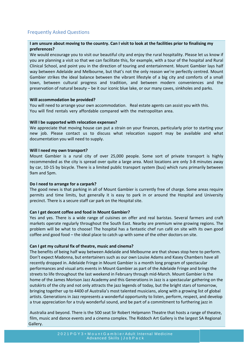# <span id="page-9-0"></span>Frequently Asked Questions

## **I am unsure about moving to the country. Can I visit to look at the facilities prior to finalising my preferences?**

We would encourage you to visit our beautiful city and enjoy the rural hospitality. Please let us know if you are planning a visit so that we can facilitate this, for example, with a tour of the hospital and Rural Clinical School, and point you in the direction of touring and entertainment. Mount Gambier lays half way between Adelaide and Melbourne, but that's not the only reason we're perfectly centred. Mount Gambier strikes the ideal balance between the vibrant lifestyle of a big city and comforts of a small town, between cultural progress and tradition, and between modern conveniences and the preservation of natural beauty – be it our iconic blue lake, or our many caves, sinkholes and parks.

### **Will accommodation be provided?**

You will need to arrange your own accommodation. Real estate agents can assist you with this. You will find rentals very affordable compared with the metropolitan area.

#### **Will I be supported with relocation expenses?**

We appreciate that moving house can put a strain on your finances, particularly prior to starting your new job. Please contact us to discuss what relocation support may be available and what documentation you will need to supply.

#### **Will I need my own transport?**

Mount Gambier is a rural city of over 25,000 people. Some sort of private transport is highly recommended as the city is spread over quite a large area. Most locations are only 3-8 minutes away by car, 10-15 by bicycle. There is a limited public transport system (bus) which runs primarily between 9am and 5pm.

#### **Do I need to arrange for a carpark?**

The good news is that parking in all of Mount Gambier is currently free of charge. Some areas require permits and time limits, but generally it is easy to park in or around the Hospital and University precinct. There is a secure staff car park on the Hospital site.

### **Can I get decent coffee and food in Mount Gambier?**

Yes and yes. There is a wide range of cuisines on offer and real baristas. Several farmers and craft markets operate regularly throughout the South East. Nearby are premium wine growing regions. The problem will be what to choose! The hospital has a fantastic chef run café on site with its own good coffee and good food – the ideal place to catch up with some of the other doctors on site.

#### **Can I get my cultural fix of theatre, music and cinema?**

Ī

The benefits of being half way between Adelaide and Melbourne are that shows stop here to perform. Don't expect Madonna, but entertainers such as our own Louise Adams and Kasey Chambers have all recently dropped in. Adelaide Fringe in Mount Gambier is a month long program of spectacular performances and visual arts events in Mount Gambier as part of the Adelaide Fringe and brings the streets to life throughout the last weekend in February through mid-March. Mount Gambier is the home of the James Morison Jazz Academy and this Generations in Jazz is a spectacular gathering on the outskirts of the city and not only attracts the jazz legends of today, but the bright stars of tomorrow, bringing together up to 4400 of Australia's most talented musicians, along with a growing list of global artists. Generations in Jazz represents a wonderful opportunity to listen, perform, respect, and develop a true appreciation for a truly wonderful sound, and be part of a commitment to furthering jazz in

Australia and beyond. There is the 500 seat Sir Robert Helpmann Theatre that hosts a range of theatre, film, music and dance events and a cinema complex. The Riddoch Art Gallery is the largest SA Regional Gallery.